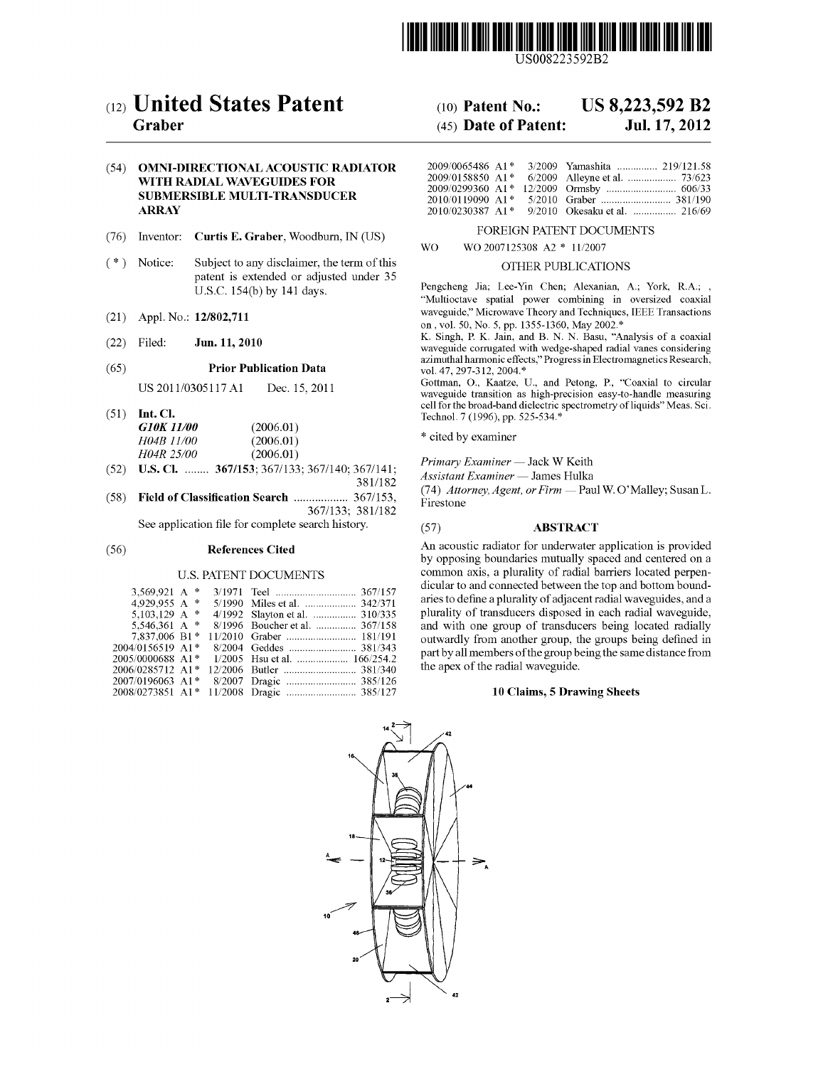

US008223592B2

# (12) United States Patent

## Graber

## (54) OMNI-DIRECTIONAL ACOUSTIC RADIATOR WITH RADIAL WAVEGUIDES FOR SUBMERSIBLE MULT-TRANSDUCER ARRAY

- (76) Inventor: Curtis E. Graber, Woodburn, IN (US)
- (\*) Notice: Subject to any disclaimer, the term of this patent is extended or adjusted under 35 U.S.C. 154(b) by 141 days.
- (21) Appl. No.: 12/802,711
- (22) Filed: Jun. 11, 2010

#### (65) Prior Publication Data

US 2011/0305117 A1 Dec. 15, 2011

- (51) Int. Cl. G10K 11/00<br>H04B 11/00  $(2006.01)$ <br> $(2006.01)$ H04R 25/00 (2006.01)
- (52) U.S. Cl. ........ 367/153: 367/133: 367/140: 367/141; 381/182
- (58) Field of Classification Search .................. 367/153, 367/133: 381/182 See application file for complete search history.

#### (56) References Cited

## U.S. PATENT DOCUMENTS

| 3.569.921 A $*$  |  |                                |
|------------------|--|--------------------------------|
| 4.929.955 A *    |  | 5/1990 Miles et al.  342/371   |
| 5.103.129 A $*$  |  | 4/1992 Slayton et al.  310/335 |
| 5.546.361 A $*$  |  | 8/1996 Boucher et al.  367/158 |
| 7,837,006 B1*    |  | 11/2010 Graber  181/191        |
| 2004/0156519 A1* |  |                                |
| 2005/0000688 A1* |  | $1/2005$ Hsu et al.  166/254.2 |
| 2006/0285712 A1* |  |                                |
| 2007/0196063 A1* |  |                                |
|                  |  |                                |

#### US 8,223,592 B2 (10) Patent No.:

#### Jul. 17, 2012 (45) Date of Patent:

| 2009/0065486 A1*<br>2009/0158850 A1*                | 3/2009 Yamashita  219/121.58  |
|-----------------------------------------------------|-------------------------------|
|                                                     |                               |
| $2010/0119090$ A <sub>1</sub> *<br>2010/0230387 A1* | 9/2010 Okesaku et al.  216/69 |

#### FOREIGN PATENT DOCUMENTS

WO WO 2007125308 A2 \* 11/2007

#### OTHER PUBLICATIONS

Pengcheng Jia; Lee-Yin Chen; Alexanian, A.; York, R.A.; , "Multioctave spatial power combining in oversized coaxial waveguide." Microwave Theory and Techniques, IEEE Transactions on, vol. 50, No. 5, pp. 1355-1360, May 2002.\*

K. Singh, P. K. Jain, and B. N. N. Basu, "Analysis of a coaxial waveguide corrugated with wedge-shaped radial vanes considering azimuthal harmonic effects." Progress in Electromagnetics Research, vol. 47, 297-312, 2004.\*<br>Gottman, O., Kaatze, U., and Petong, P., "Coaxial to circular

waveguide transition as high-precision easy-to-handle measuring cell for the broad-band dielectric spectrometry of liquids' Meas. Sci. Technol. 7 (1996), pp. 525-534.\*

\* cited by examiner

Primary Examiner - Jack W Keith

Assistant Examiner — James Hulka

(74) Attorney, Agent, or Firm — Paul W. O'Malley; Susan L. Firestone

#### (57) ABSTRACT

An acoustic radiator for underwater application is provided by opposing boundaries mutually spaced and centered on a common axis, a plurality of radial barriers located perpen dicular to and connected between the top and bottom bound aries to define a plurality of adjacentradial waveguides, and a plurality of transducers disposed in each radial waveguide, and with one group of transducers being located radially outwardly from another group, the groups being defined in part by all members of the group being the same distance from the apex of the radial waveguide.

#### 10 Claims, 5 Drawing Sheets

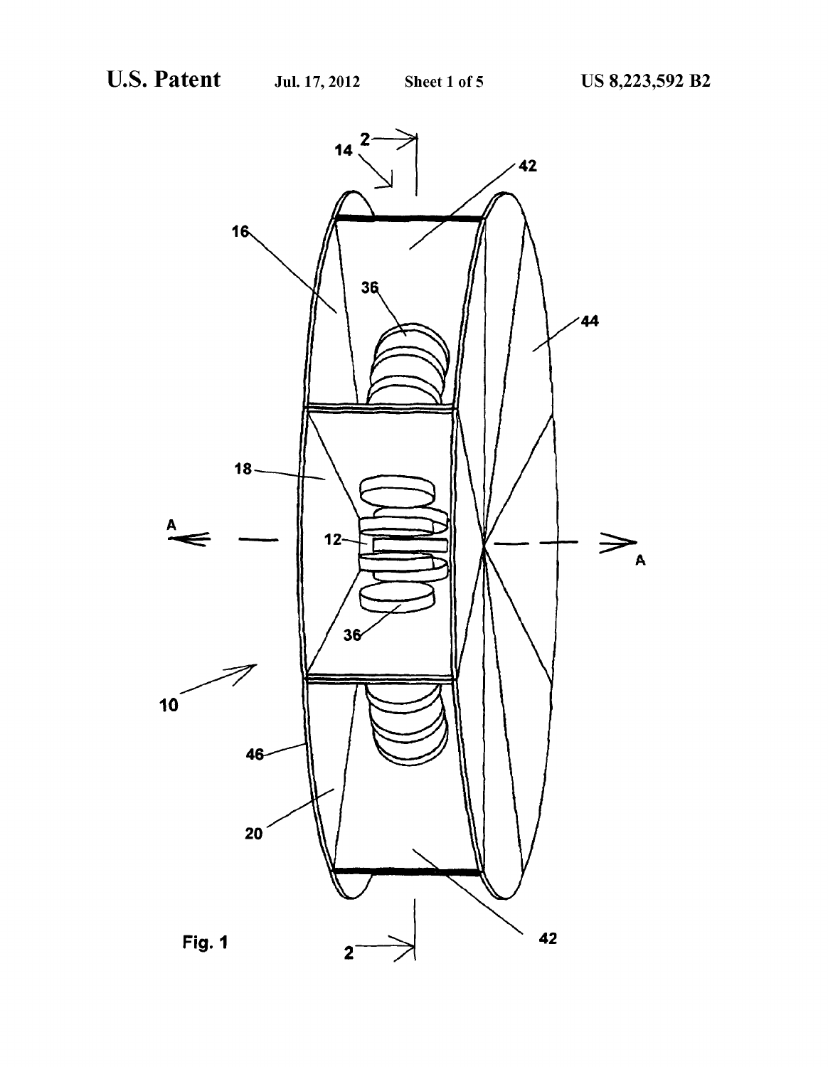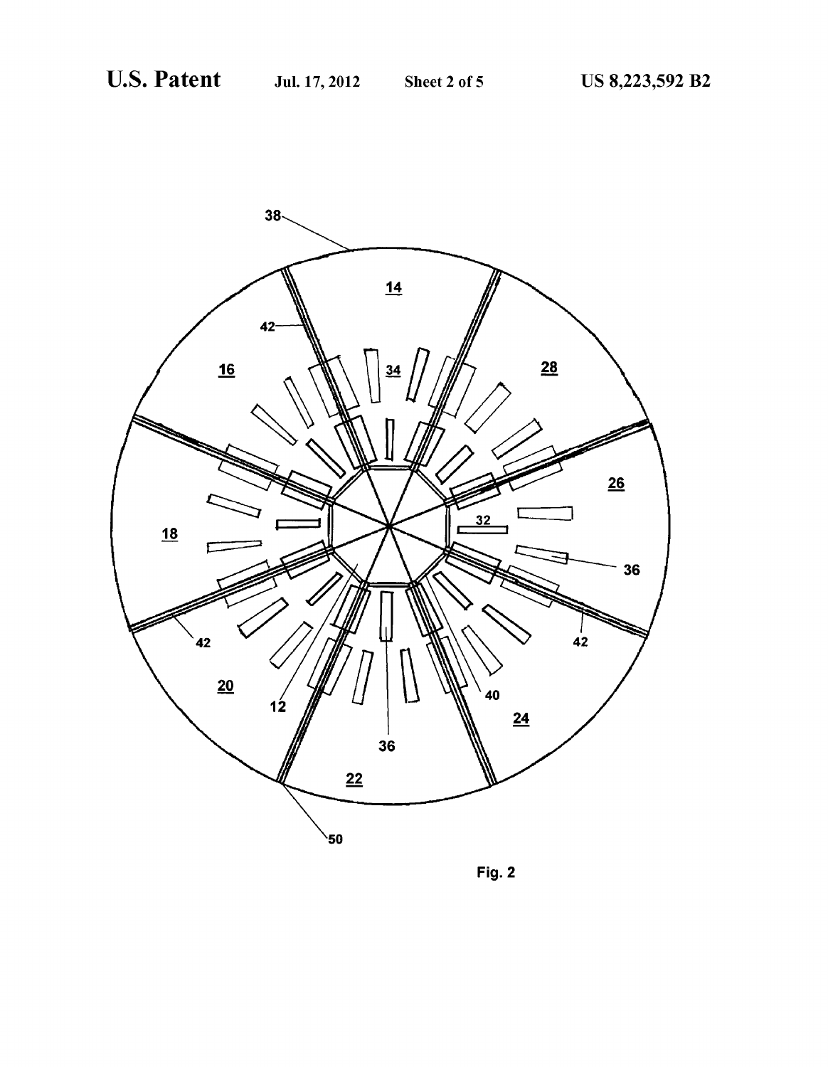

Fig. 2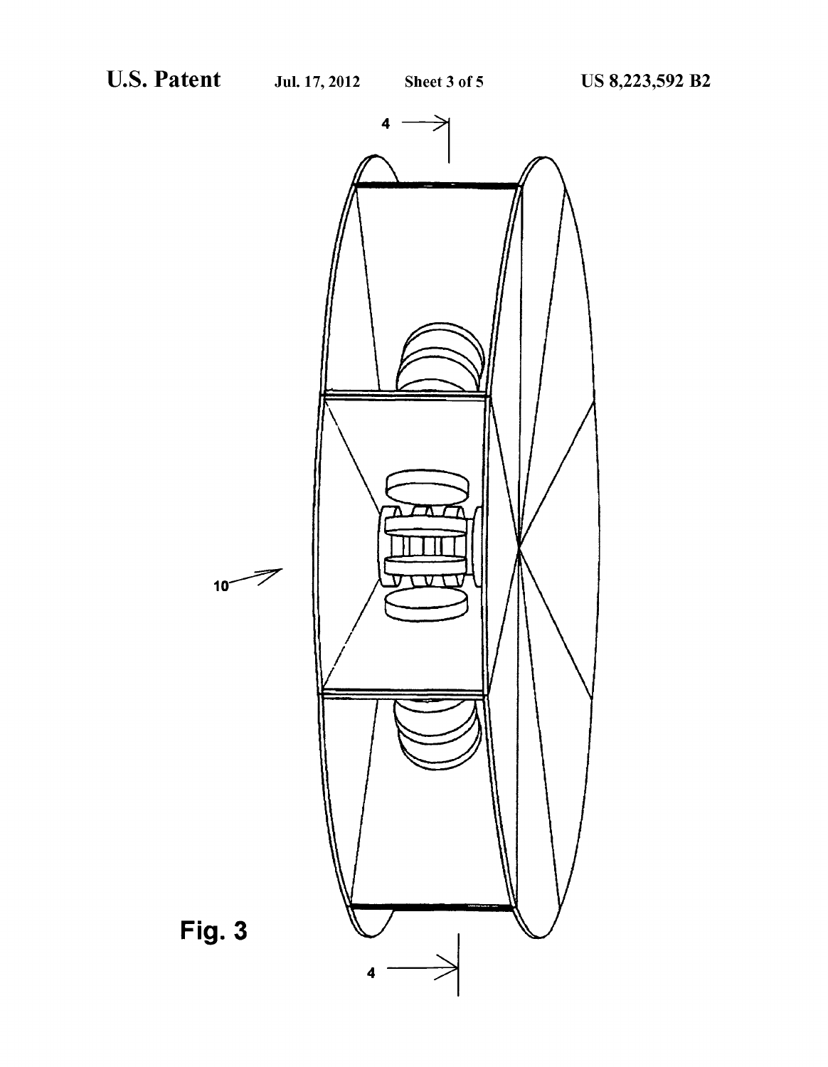



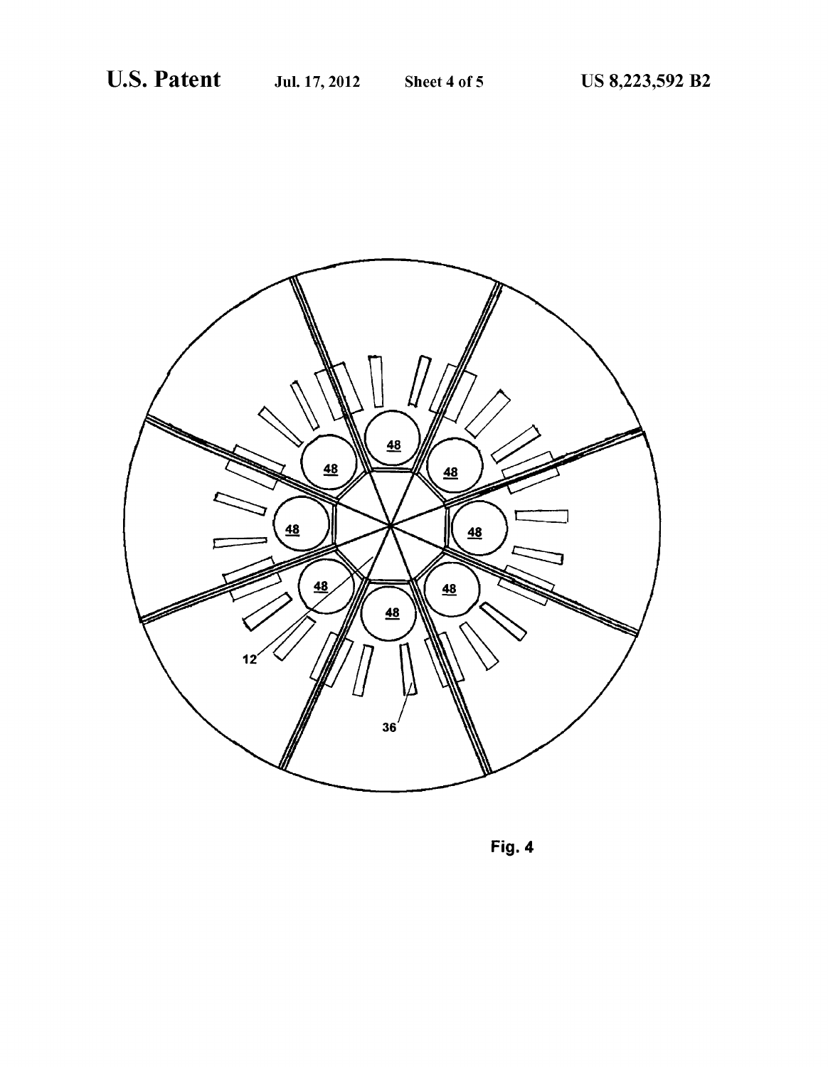

Fig. 4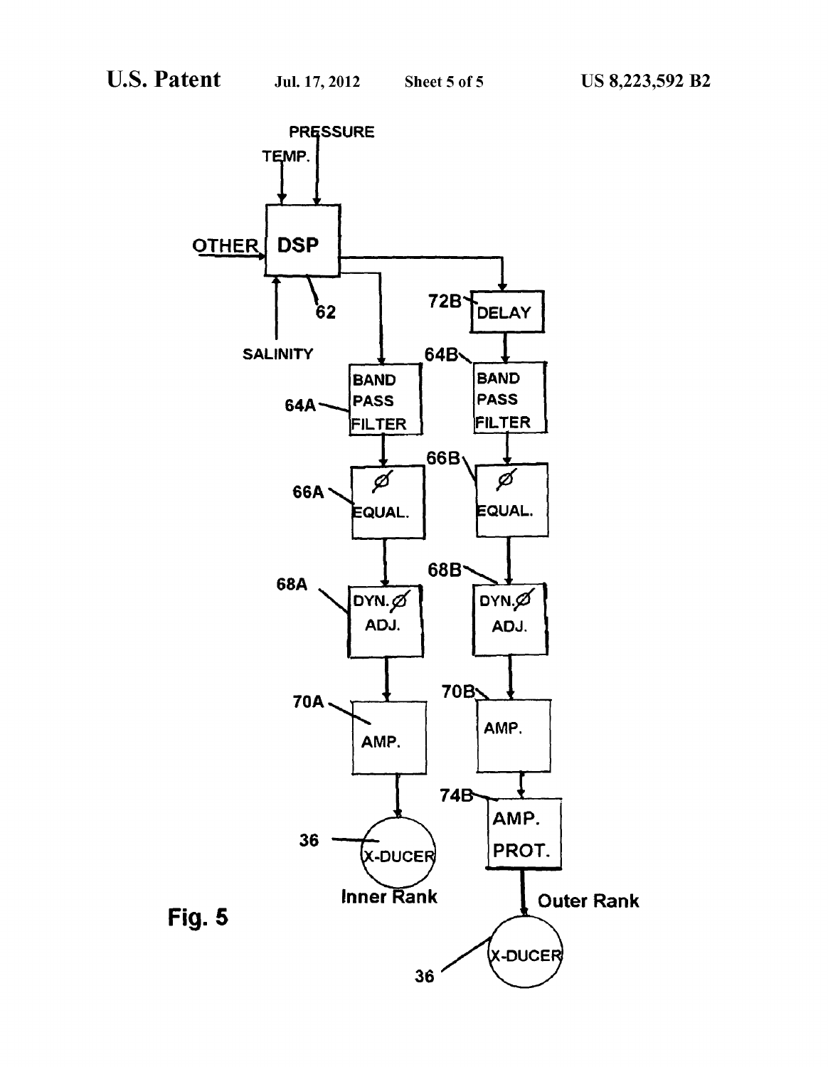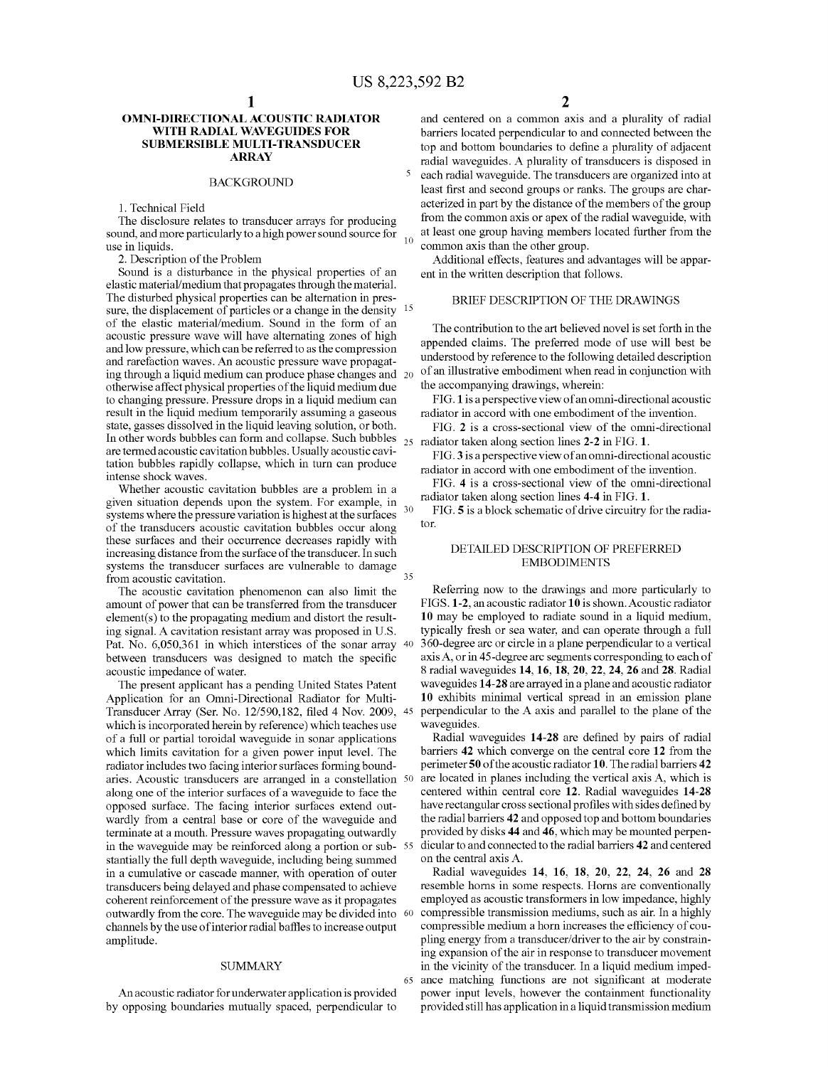5

25

30

35

65

#### OMNI-DIRECTIONAL ACOUSTIC RADIATOR WITH RADIAL WAVEGUIDES FOR SUBMERSIBLE MULT-TRANSDUCER ARRAY

#### BACKGROUND

1. Technical Field

The disclosure relates to transducer arrays for producing sound, and more particularly to a high power sound source for use in liquids.

2. Description of the Problem

Sound is a disturbance in the physical properties of an elastic material/medium that propagates through the material. sure, the displacement of particles or a change in the density of the elastic material/medium. Sound in the form of an acoustic pressure wave will have alternating zones of high and low pressure, which can be referred to as the compression and rarefaction waves. An acoustic pressure wave propagation and rarefaction waves. An acoustic pressure wave propagation and rarefaction wave propagation and rarefaction and  $20$ otherwise affect physical properties of the liquid medium due to changing pressure. Pressure drops in a liquid medium can result in the liquid medium temporarily assuming a gaseous state, gasses dissolved in the liquid leaving solution, or both. In other words bubbles can form and collapse. Such bubbles are termed acoustic cavitation bubbles. Usually acoustic cavi tation bubbles rapidly collapse, which in turn can produce intense shock waves. 15

Whether acoustic cavitation bubbles are a problem in a given situation depends upon the system. For example, in systems where the pressure variation is highest at the surfaces of the transducers acoustic cavitation bubbles occur along these surfaces and their occurrence decreases rapidly with increasing distance from the surface of the transducer. In such systems the transducer surfaces are vulnerable to damage from acoustic cavitation.

The acoustic cavitation phenomenon can also limit the amount of power that can be transferred from the transducer element(s) to the propagating medium and distort the result ing signal. A cavitation resistant array was proposed in U.S. between transducers was designed to match the specific acoustic impedance of water. Pat. No. 6,050,361 in which interstices of the sonar array 40

The present applicant has a pending United States Patent Application for an Omni-Directional Radiator for Multi Transducer Array (Ser. No. 12/590,182, filed 4 Nov. 2009, 45 which is incorporated herein by reference) which teaches use of a full or partial toroidal waveguide in sonar applications which limits cavitation for a given power input level. The radiator includes two facing interior surfaces forming boundaries. Acoustic transducers are arranged in a constellation 50 along one of the interior surfaces of a waveguide to face the opposed surface. The facing interior surfaces extend outwardly from a central base or core of the waveguide and terminate at a mouth. Pressure waves propagating outwardly terminate at a mouth. Pressure waves propagating outwardly<br>in the waveguide may be reinforced along a portion or sub- 55 stantially the full depth waveguide, including being summed in a cumulative or cascade manner, with operation of outer transducers being delayed and phase compensated to achieve coherent reinforcement of the pressure wave as it propagates outwardly from the core. The waveguide may be divided into  $\sqrt[6]{60}$ channels by the use of interior radialbaffles to increase output amplitude.

#### **SUMMARY**

Anacoustic radiator for underwater application is provided by opposing boundaries mutually spaced, perpendicular to

10 and centered on a common axis and a plurality of radial barriers located perpendicular to and connected between the top and bottom boundaries to define a plurality of adjacent radial waveguides. A plurality of transducers is disposed in each radial waveguide. The transducers are organized into at least first and second groups or ranks. The groups are char acterized in part by the distance of the members of the group from the common axis or apex of the radial waveguide, with at least one group having members located further from the common axis than the other group.

Additional effects, features and advantages will be appar ent in the written description that follows.

#### BRIEF DESCRIPTION OF THE DRAWINGS

The contribution to the art believed novel is set forth in the appended claims. The preferred mode of use will best be understood by reference to the following detailed description of an illustrative embodiment when read in conjunction with the accompanying drawings, wherein:

FIG. 1 is a perspective view of an omni-directional acoustic radiator in accord with one embodiment of the invention.

FIG. 2 is a cross-sectional view of the omni-directional radiator taken along section lines 2-2 in FIG. 1.

FIG.3 is a perspective view of an omni-directional acoustic radiator in accord with one embodiment of the invention.

FIG. 4 is a cross-sectional view of the omni-directional radiator taken along section lines 4-4 in FIG. 1.

FIG. 5 is a block schematic of drive circuitry for the radia tOr.

#### DETAILED DESCRIPTION OF PREFERRED EMBODIMENTS

Referring now to the drawings and more particularly to FIGS. 1-2, an acoustic radiator 10 is shown. Acoustic radiator 10 may be employed to radiate sound in a liquid medium, typically fresh or sea water, and can operate through a full 360-degree arc or circle in a plane perpendicular to a vertical axis A, or in 45-degree arc segments corresponding to each of 8 radial waveguides 14, 16, 18, 20, 22, 24, 26 and 28. Radial waveguides 14-28 are arrayed in a plane and acoustic radiator 10 exhibits minimal vertical spread in an emission plane perpendicular to the A axis and parallel to the plane of the waveguides.

Radial waveguides 14-28 are defined by pairs of radial barriers 42 which converge on the central core 12 from the perimeter 50 of the acoustic radiator 10. The radial barriers 42 are located in planes including the vertical axis A, which is centered within central core 12. Radial waveguides 14-28 have rectangular cross sectional profiles with sides defined by the radial barriers 42 and opposed top and bottom boundaries provided by disks 44 and 46, which may be mounted perpen dicular to and connected to the radial barriers 42 and centered on the central axis A.

Radial waveguides 14, 16, 18, 20, 22, 24, 26 and 28 resemble horns in some respects. Horns are conventionally employed as acoustic transformers in low impedance, highly compressible transmission mediums, such as air. In a highly compressible medium a horn increases the efficiency of coupling energy from a transducer/driver to the air by constrain ing expansion of the air in response to transducer movement in the vicinity of the transducer. In a liquid medium imped ance matching functions are not significant at moderate power input levels, however the containment functionality provided still has application in a liquid transmission medium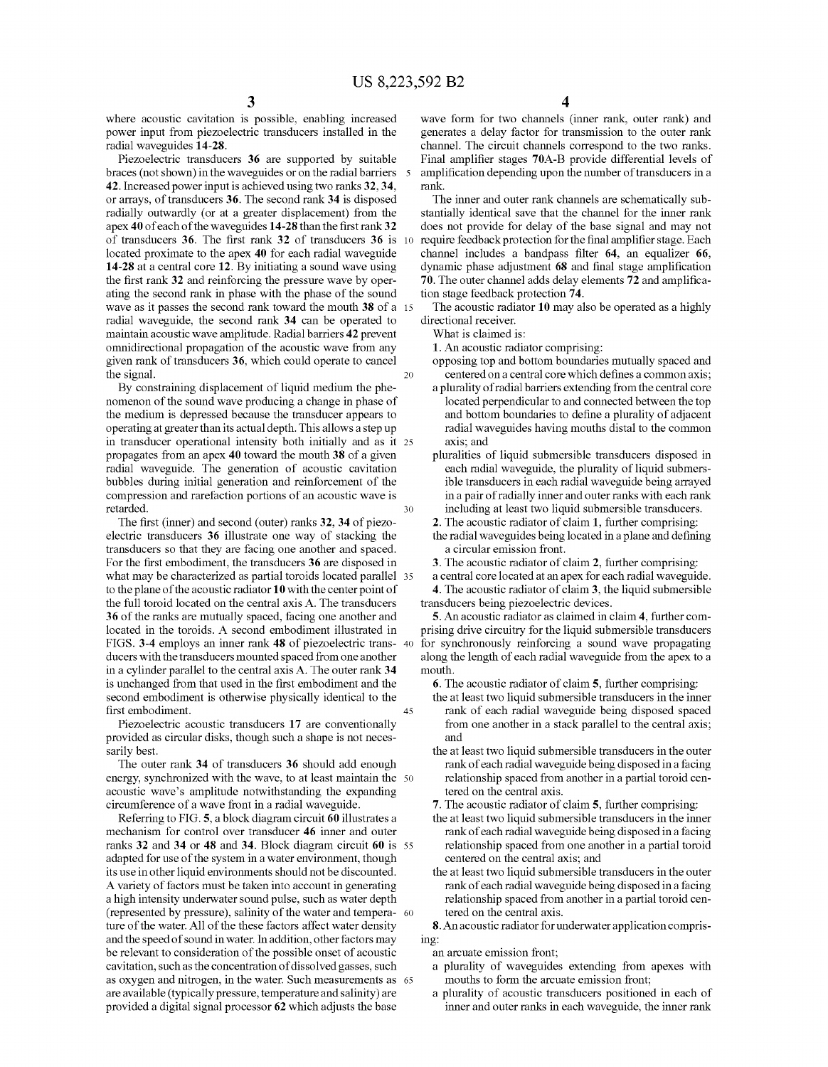where acoustic cavitation is possible, enabling increased power input from piezoelectric transducers installed in the radial waveguides 14-28.

Piezoelectric transducers 36 are supported by suitable braces (not shown) in the waveguides or on the radial barriers 5 42. Increased power input is achieved using two ranks 32,34. radially outwardly (or at a greater displacement) from the apex 40 of each of the waveguides 14-28 than the first rank 32 of transducers 36. The first rank 32 of transducers 36 is 10 located proximate to the apex 40 for each radial waveguide 14-28 at a central core 12. By initiating a sound wave using the first rank 32 and reinforcing the pressure wave by oper ating the second rank in phase with the phase of the sound wave as it passes the second rank toward the mouth **38** of a 15 radial waveguide, the second rank 34 can be operated to maintain acoustic wave amplitude. Radial barriers 42 prevent omnidirectional propagation of the acoustic wave from any given rank of transducers 36, which could operate to cancel<br>the signal. the signal.

By constraining displacement of liquid medium the phe nomenon of the Sound wave producing a change in phase of the medium is depressed because the transducer appears to operating at greater than its actual depth. This allows a step up in transducer operational intensity both initially and as it 25 propagates from an apex 40 toward the mouth 38 of a given radial waveguide. The generation of acoustic cavitation bubbles during initial generation and reinforcement of the compression and rarefaction portions of an acoustic wave is retarded. 30

The first (inner) and second (outer) ranks 32, 34 of piezo-<br>electric transducers 36 illustrate one way of stacking the transducers so that they are facing one another and spaced. For the first embodiment, the transducers 36 are disposed in what may be characterized as partial toroids located parallel 35 to the plane of the acoustic radiator 10 with the center point of the full toroid located on the central axis A. The transducers 36 of the ranks are mutually spaced, facing one another and located in the toroids. A second embodiment illustrated in FIGS. 3-4 employs an inner rank 48 of piezoelectric trans- 40 ducers with the transducers mounted spaced from one another in a cylinder parallel to the central axis A. The outer rank 34 is unchanged from that used in the first embodiment and the second embodiment is otherwise physically identical to the first embodiment. 45

Piezoelectric acoustic transducers 17 are conventionally provided as circular disks, though such a shape is not necessarily best.

The outer rank 34 of transducers 36 should add enough energy, synchronized with the wave, to at least maintain the 50 acoustic wave's amplitude notwithstanding the expanding

circumference of a wave front in a radial waveguide. Referring to FIG. 5, a block diagram circuit 60 illustrates a mechanism for control over transducer 46 inner and outer ranks  $32$  and  $34$  or  $48$  and  $34$ . Block diagram circuit  $60$  is  $55$ adapted for use of the system in a water environment, though its use in other liquid environments should not be discounted. A variety of factors must be taken into account in generating<br>a high intensity underwater sound pulse, such as water depth a mgn intensity underwater sound pulse, such as water depth<br>(represented by pressure), salinity of the water and tempera- 60 ture of the water. All of the these factors affect water density and the speed of sound in water. In addition, other factors may be relevant to consideration of the possible onset of acoustic cavitation, such as the concentration of dissolved gasses, such as oxygen and nitrogen, in the water. Such measurements as are available (typically pressure, temperature and salinity) are provided a digital signal processor 62 which adjusts the base 65

wave form for two channels (inner rank, outer rank) and generates a delay factor for transmission to the outer rank channel. The circuit channels correspond to the two ranks. Final amplifier stages 70A-B provide differential levels of amplification depending upon the number of transducers in a rank.

The inner and outer rank channels are schematically substantially identical save that the channel for the inner rank does not provide for delay of the base signal and may not require feedback protection for the final amplifier stage. Each channel includes a bandpass filter 64, an equalizer 66, dynamic phase adjustment 68 and final stage amplification 70. The outer channel adds delay elements 72 and amplifica tion stage feedback protection 74.

The acoustic radiator 10 may also be operated as a highly directional receiver.

What is claimed is:

- 1. An acoustic radiator comprising: opposing top and bottom boundaries mutually spaced and centered on a central core which defines a common axis;
- a plurality of radial barriers extending from the central core located perpendicular to and connected between the top radial waveguides having mouths distal to the common axis; and
- pluralities of liquid submersible transducers disposed in each radial waveguide, the plurality of liquid submersible transducers in each radial waveguide being arrayed in a pair of radially inner and outer ranks with each rank
- including at least two liquid submersible transducers.<br>2. The acoustic radiator of claim 1, further comprising:
- the radial waveguides being located in a plane and defining a circular emission front.
- 3. The acoustic radiator of claim 2, further comprising:

a central core located at an apex for each radial waveguide.

4. The acoustic radiator of claim 3, the liquid submersible transducers being piezoelectric devices.

5. An acoustic radiator as claimed in claim 4, further com prising drive circuitry for the liquid submersible transducers for synchronously reinforcing a Sound wave propagating along the length of each radial waveguide from the apex to a mouth.

6. The acoustic radiator of claim 5, further comprising:

- the at least two liquid submersible transducers in the inner rank of each radial waveguide being disposed spaced from one another in a stack parallel to the central axis; and
- the at least two liquid submersible transducers in the outer rank of each radial waveguide being disposed in a facing relationship spaced from another in a partial toroid cen tered on the central axis.
- 7. The acoustic radiator of claim 5, further comprising:
- the at least two liquid submersible transducers in the inner rank of each radial waveguide being disposed in a facing relationship spaced from one another in a partial toroid centered on the central axis; and
- the at least two liquid submersible transducers in the outer rank of each radial waveguide being disposed in a facing relationship spaced from another in a partial toroid cen tered on the central axis.

8. An acoustic radiator for underwater application comprising:

an arcuate emission front;

- a plurality of waveguides extending from apexes with mouths to form the arcuate emission front;
- a plurality of acoustic transducers positioned in each of inner and outer ranks in each waveguide, the inner rank